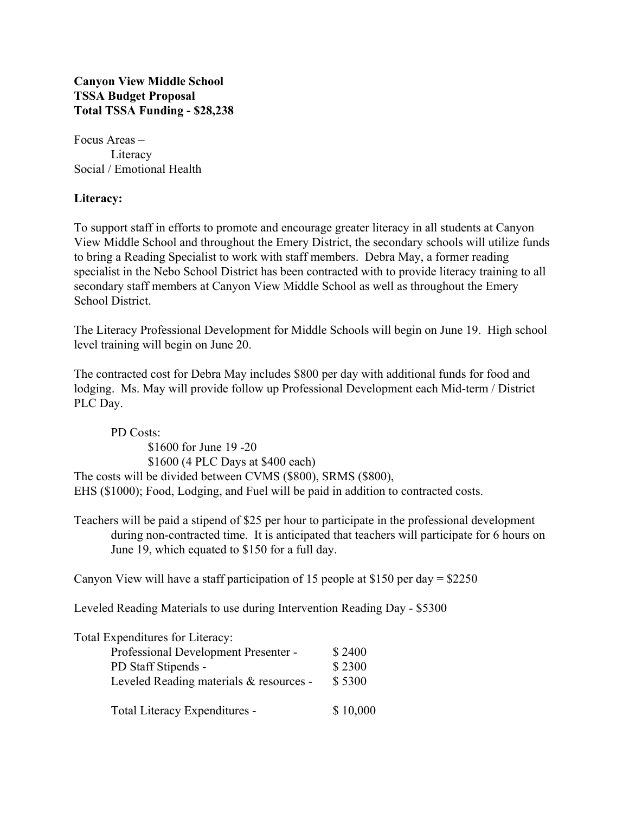**Canyon View Middle School TSSA Budget Proposal Total TSSA Funding - \$28,238**

Focus Areas – Literacy Social / Emotional Health

## **Literacy:**

To support staff in efforts to promote and encourage greater literacy in all students at Canyon View Middle School and throughout the Emery District, the secondary schools will utilize funds to bring a Reading Specialist to work with staff members. Debra May, a former reading specialist in the Nebo School District has been contracted with to provide literacy training to all secondary staff members at Canyon View Middle School as well as throughout the Emery School District.

The Literacy Professional Development for Middle Schools will begin on June 19. High school level training will begin on June 20.

The contracted cost for Debra May includes \$800 per day with additional funds for food and lodging. Ms. May will provide follow up Professional Development each Mid-term / District PLC Day.

PD Costs: \$1600 for June 19 -20 \$1600 (4 PLC Days at \$400 each) The costs will be divided between CVMS (\$800), SRMS (\$800), EHS (\$1000); Food, Lodging, and Fuel will be paid in addition to contracted costs.

Teachers will be paid a stipend of \$25 per hour to participate in the professional development during non-contracted time. It is anticipated that teachers will participate for 6 hours on June 19, which equated to \$150 for a full day.

Canyon View will have a staff participation of 15 people at \$150 per day = \$2250

Leveled Reading Materials to use during Intervention Reading Day - \$5300

| Total Expenditures for Literacy:<br>Professional Development Presenter -<br>PD Staff Stipends - |                  |                                         |
|-------------------------------------------------------------------------------------------------|------------------|-----------------------------------------|
|                                                                                                 | \$2400<br>\$2300 |                                         |
|                                                                                                 |                  | Leveled Reading materials & resources - |
| Total Literacy Expenditures -                                                                   | \$10,000         |                                         |